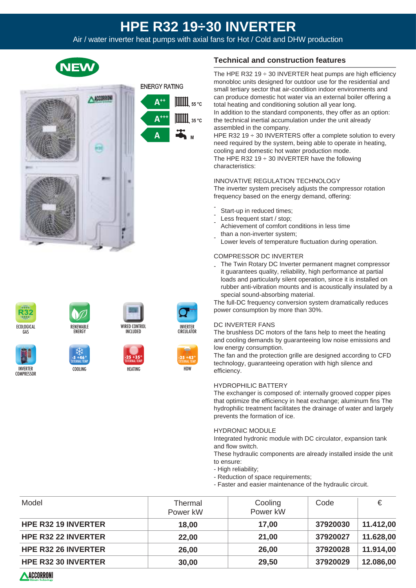# **HPE R32 19÷30 INVERTER**

Air / water inverter heat pumps with axial fans for Hot / Cold and DHW production

| J.<br>I | J. |
|---------|----|
|         |    |
|         |    |





INVERTER **COMPRESSOR** 



COOLING **-5 +46°** EXTERNAL TEMP.





**HEATING -25 +35°** EXTERNAL TEMP.





# **Technical and construction features**

The HPE R32 19  $\div$  30 INVERTER heat pumps are high efficiency monobloc units designed for outdoor use for the residential and small tertiary sector that air-condition indoor environments and can produce domestic hot water via an external boiler offering a total heating and conditioning solution all year long. In addition to the standard components, they offer as an option: the technical inertial accumulation under the unit already

assembled in the company. HPE R32 19  $\div$  30 INVERTERS offer a complete solution to every need required by the system, being able to operate in heating, cooling and domestic hot water production mode. The HPE R32 19  $\div$  30 INVERTER have the following characteristics:

### INNOVATIVE REGULATION TECHNOLOGY

The inverter system precisely adjusts the compressor rotation frequency based on the energy demand, offering:

- Start-up in reduced times;
- Less frequent start / stop;
- - Achievement of comfort conditions in less time than a non-inverter system;
- Lower levels of temperature fluctuation during operation.

#### COMPRESSOR DC INVERTER

- The Twin Rotary DC Inverter permanent magnet compressor it guarantees quality, reliability, high performance at partial loads and particularly silent operation, since it is installed on rubber anti-vibration mounts and is acoustically insulated by a special sound-absorbing material.

The full-DC frequency conversion system dramatically reduces power consumption by more than 30%.

#### DC INVERTER FANS

The brushless DC motors of the fans help to meet the heating and cooling demands by guaranteeing low noise emissions and low energy consumption.

The fan and the protection grille are designed according to CFD technology, guaranteeing operation with high silence and efficiency.

#### HYDROPHILIC BATTERY

The exchanger is composed of: internally grooved copper pipes that optimize the efficiency in heat exchange; aluminum fins The hydrophilic treatment facilitates the drainage of water and largely prevents the formation of ice.

#### HYDRONIC MODULE

Integrated hydronic module with DC circulator, expansion tank and flow switch.

These hydraulic components are already installed inside the unit to ensure:

- High reliability;
- Reduction of space requirements;
- Faster and easier maintenance of the hydraulic circuit.

| Model                      | Thermal<br>Power kW | Cooling<br>Power kW | Code     | €         |  |
|----------------------------|---------------------|---------------------|----------|-----------|--|
| <b>HPE R32 19 INVERTER</b> | 18,00               | 17,00               | 37920030 | 11.412,00 |  |
| <b>HPE R32 22 INVERTER</b> | 22,00               | 21,00               | 37920027 | 11.628,00 |  |
| <b>HPE R32 26 INVERTER</b> | 26,00               | 26,00               | 37920028 | 11.914,00 |  |
| <b>HPE R32 30 INVERTER</b> | 30,00               | 29,50               | 37920029 | 12.086,00 |  |
| <b>ACCORRONI</b>           |                     |                     |          |           |  |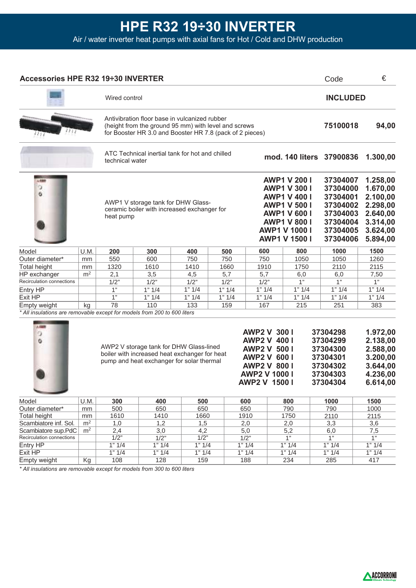| Accessories HPE R32 19÷30 INVERTER                                       |                |                                                                                                                                                                                                                                                                                                   |                                                                                                                                                                   |        |        |                                                                                                                                                                                        |  |                          |                                                                                              | Code                                                                                         | €        |
|--------------------------------------------------------------------------|----------------|---------------------------------------------------------------------------------------------------------------------------------------------------------------------------------------------------------------------------------------------------------------------------------------------------|-------------------------------------------------------------------------------------------------------------------------------------------------------------------|--------|--------|----------------------------------------------------------------------------------------------------------------------------------------------------------------------------------------|--|--------------------------|----------------------------------------------------------------------------------------------|----------------------------------------------------------------------------------------------|----------|
| Wired control                                                            |                |                                                                                                                                                                                                                                                                                                   |                                                                                                                                                                   |        |        |                                                                                                                                                                                        |  | <b>INCLUDED</b>          |                                                                                              |                                                                                              |          |
|                                                                          |                |                                                                                                                                                                                                                                                                                                   | Antivibration floor base in vulcanized rubber<br>(height from the ground 95 mm) with level and screws<br>for Booster HR 3.0 and Booster HR 7.8 (pack of 2 pieces) |        |        |                                                                                                                                                                                        |  |                          |                                                                                              | 75100018                                                                                     | 94,00    |
|                                                                          |                |                                                                                                                                                                                                                                                                                                   | ATC Technical inertial tank for hot and chilled<br>technical water                                                                                                |        |        |                                                                                                                                                                                        |  | mod. 140 liters 37900836 |                                                                                              |                                                                                              | 1.300,00 |
| 山田屋<br>э<br>ó                                                            |                | AWP1 V storage tank for DHW Glass-<br>ceramic boiler with increased exchanger for<br>heat pump                                                                                                                                                                                                    |                                                                                                                                                                   |        |        | <b>AWP1 V 200 I</b><br><b>AWP1 V 300 I</b><br><b>AWP1 V 400 I</b><br><b>AWP1 V 500 I</b><br><b>AWP1 V 600 I</b><br><b>AWP1 V 800 I</b><br><b>AWP1 V 1000 I</b><br><b>AWP1 V 1500 I</b> |  |                          | 37304007<br>37304000<br>37304001<br>37304002<br>37304003<br>37304004<br>37304005<br>37304006 | 1.258,00<br>1.670,00<br>2.100,00<br>2.298,00<br>2.640,00<br>3.314,00<br>3.624,00<br>5.894,00 |          |
| Model                                                                    | U.M.           | 200                                                                                                                                                                                                                                                                                               | 300                                                                                                                                                               | 400    | 500    | 600                                                                                                                                                                                    |  | 800                      |                                                                                              | 1000                                                                                         | 1500     |
| Outer diameter*                                                          | mm             | 550                                                                                                                                                                                                                                                                                               | 600                                                                                                                                                               | 750    | 750    | 750                                                                                                                                                                                    |  | 1050                     |                                                                                              | 1050                                                                                         | 1260     |
| <b>Total height</b>                                                      | mm             | 1320                                                                                                                                                                                                                                                                                              | 1610                                                                                                                                                              | 1410   | 1660   | 1910                                                                                                                                                                                   |  | 1750                     |                                                                                              | 2110                                                                                         | 2115     |
| HP exchanger                                                             | m <sup>2</sup> | 2,1                                                                                                                                                                                                                                                                                               | 3,5                                                                                                                                                               | 4,5    | 5,7    | 5,7                                                                                                                                                                                    |  | 6,0                      |                                                                                              | 6,0                                                                                          | 7,50     |
| Recirculation connections                                                |                | 1/2"                                                                                                                                                                                                                                                                                              | 1/2"                                                                                                                                                              | 1/2"   | 1/2"   | 1/2"                                                                                                                                                                                   |  | 1"                       |                                                                                              | 1"                                                                                           | 1"       |
| Entry HP                                                                 |                | 1"                                                                                                                                                                                                                                                                                                | 1" 1/4                                                                                                                                                            | 1" 1/4 | 1" 1/4 | 1" 1/4                                                                                                                                                                                 |  | 1" 1/4                   |                                                                                              | 1" 1/4                                                                                       | 1" 1/4   |
| Exit HP                                                                  |                | 1"                                                                                                                                                                                                                                                                                                | 1" 1/4                                                                                                                                                            | 1" 1/4 | 1" 1/4 | 1" 1/4                                                                                                                                                                                 |  | 1" 1/4                   |                                                                                              | 1" 1/4                                                                                       | 1" 1/4   |
| Empty weight                                                             | kg             | 78                                                                                                                                                                                                                                                                                                | 110                                                                                                                                                               | 133    | 159    | 167                                                                                                                                                                                    |  | 215                      |                                                                                              | 251                                                                                          | 383      |
| * All insulations are removable except for models from 200 to 600 liters |                |                                                                                                                                                                                                                                                                                                   |                                                                                                                                                                   |        |        |                                                                                                                                                                                        |  |                          |                                                                                              |                                                                                              |          |
| 人际图<br>о<br>۰                                                            |                | <b>AWP2 V 300 I</b><br><b>AWP2 V 400 I</b><br>AWP2 V storage tank for DHW Glass-lined<br><b>AWP2 V 500 I</b><br>boiler with increased heat exchanger for heat<br><b>AWP2 V 600 I</b><br>pump and heat exchanger for solar thermal<br><b>AWP2 V 800 I</b><br><b>AWP2 V 1000 I</b><br>AWP2 V 1500 I |                                                                                                                                                                   |        |        |                                                                                                                                                                                        |  |                          | 37304298<br>37304299<br>37304300<br>37304301<br>37304302<br>37304303<br>37304304             | 1.972,00<br>2.138,00<br>2.588,00<br>3.200,00<br>3.644,00<br>4.236,00<br>6.614,00             |          |
| Model                                                                    | U.M.           | 300                                                                                                                                                                                                                                                                                               | 400                                                                                                                                                               | 500    |        | 600                                                                                                                                                                                    |  | 800                      |                                                                                              | 1000                                                                                         | 1500     |
| Outer diameter*                                                          | mm             | 500                                                                                                                                                                                                                                                                                               | 650                                                                                                                                                               | 650    |        | 650                                                                                                                                                                                    |  | 790                      |                                                                                              | 790                                                                                          | 1000     |
| Total height                                                             | mm             | 1610                                                                                                                                                                                                                                                                                              | 1410                                                                                                                                                              | 1660   |        | 1910                                                                                                                                                                                   |  | 1750                     |                                                                                              | 2110                                                                                         | 2115     |
| Scambiatore inf. Sol.                                                    | m <sup>2</sup> | 1,0                                                                                                                                                                                                                                                                                               | 1,2                                                                                                                                                               | 1,5    |        | 2,0                                                                                                                                                                                    |  | 2,0                      |                                                                                              | 3,3                                                                                          | 3,6      |
| Scambiatore sup.PdC                                                      | m <sup>2</sup> | 2,4                                                                                                                                                                                                                                                                                               | 3,0                                                                                                                                                               | 4,2    |        | 5,0                                                                                                                                                                                    |  | 5,2                      |                                                                                              | 6,0                                                                                          | 7,5      |
| Recirculation connections                                                |                | 1/2"                                                                                                                                                                                                                                                                                              | 1/2"<br>$\frac{1}{2}$<br>1/2"<br>1"                                                                                                                               |        |        |                                                                                                                                                                                        |  |                          |                                                                                              |                                                                                              | 1"       |

 $1" 1/4$  $1" 1/4$ 159

 $1" 1/4$  $1" 1/4$ 188

 $1" 1/4$  $1" 1/4$ 234

 $1" 1/4$  $1" 1/4$ 285

 $1" 1/4$  $1" 1/4$ 128

*\* All insulations are removable except for models from 300 to 600 liters*

 $1" 1/4$  $1" 1/4$ 108

Kg

Entry HP Exit HP Empty weight



 $1" 1/4$  $1" 1/4$ 417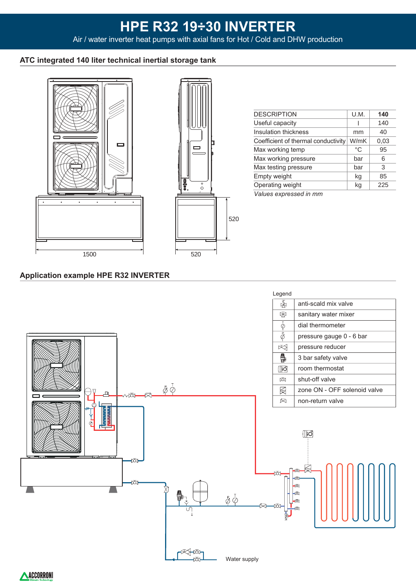## **ATC integrated 140 liter technical inertial storage tank**





| <b>DESCRIPTION</b>                  | U.M. | 140  |
|-------------------------------------|------|------|
| Useful capacity                     |      | 140  |
| Insulation thickness                | mm   | 40   |
| Coefficient of thermal conductivity | W/mK | 0,03 |
| Max working temp                    | °C   | 95   |
| Max working pressure                | bar  | 6    |
| Max testing pressure                | bar  | 3    |
| Empty weight                        | kg   | 85   |
| Operating weight                    | kg   | 225  |
| Values expressed in mm              |      |      |
|                                     |      |      |

**Application example HPE R32 INVERTER**



ACCORRON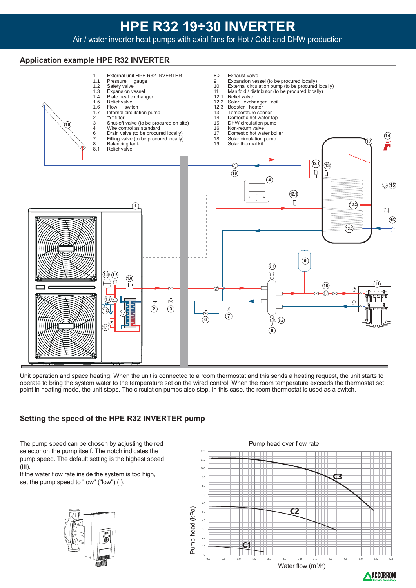## **Application example HPE R32 INVERTER**



Unit operation and space heating: When the unit is connected to a room thermostat and this sends a heating request, the unit starts to operate to bring the system water to the temperature set on the wired control. When the room temperature exceeds the thermostat set point in heating mode, the unit stops. The circulation pumps also stop. In this case, the room thermostat is used as a switch.

# **Setting the speed of the HPE R32 INVERTER pump**

The pump speed can be chosen by adjusting the red selector on the pump itself. The notch indicates the pump speed. The default setting is the highest speed (III).

If the water flow rate inside the system is too high, set the pump speed to "low" ("low") (I).